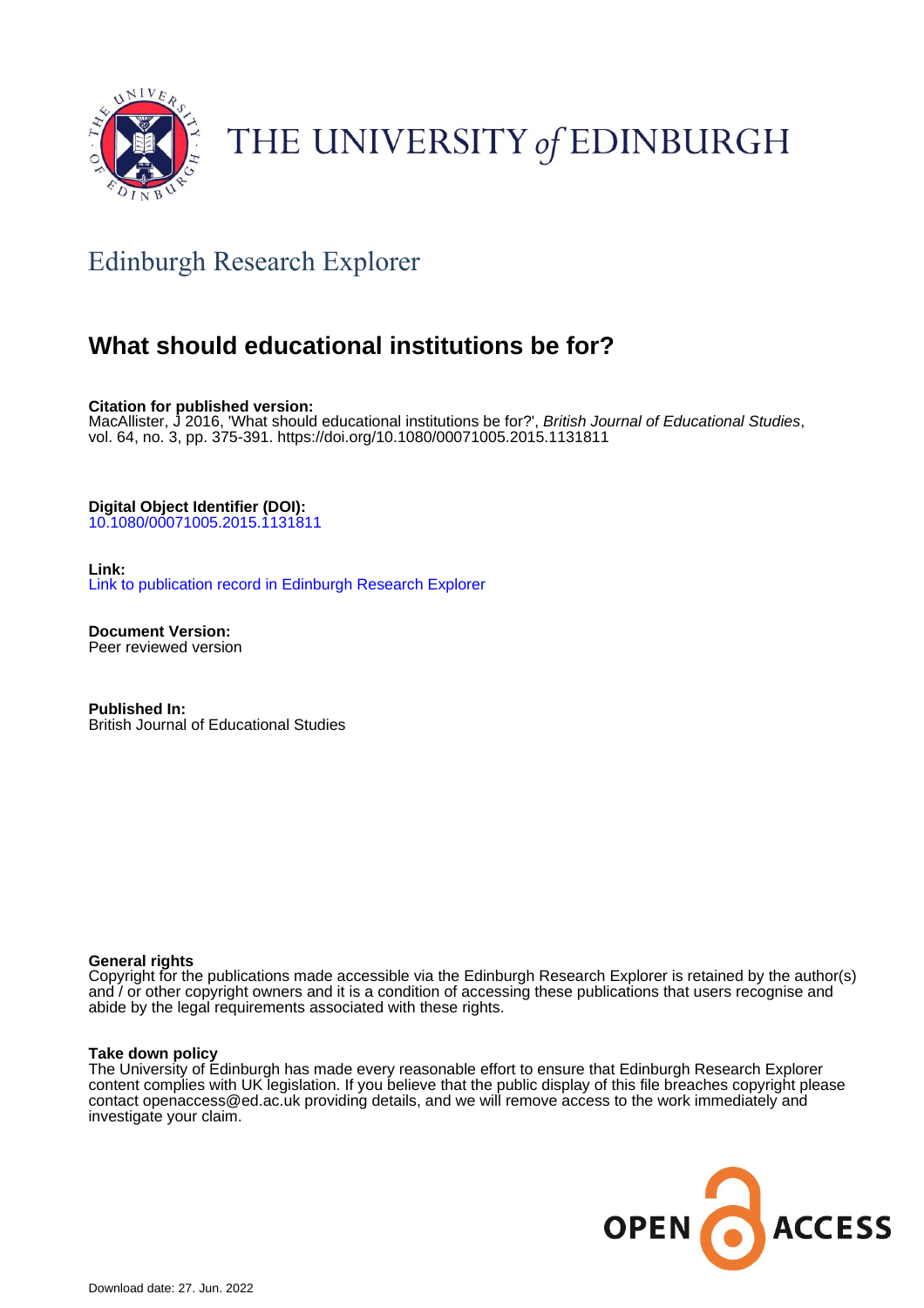

# THE UNIVERSITY of EDINBURGH

# Edinburgh Research Explorer

## **What should educational institutions be for?**

**Citation for published version:**

MacAllister, J 2016, 'What should educational institutions be for?', British Journal of Educational Studies, vol. 64, no. 3, pp. 375-391. <https://doi.org/10.1080/00071005.2015.1131811>

**Digital Object Identifier (DOI):**

[10.1080/00071005.2015.1131811](https://doi.org/10.1080/00071005.2015.1131811)

**Link:**

[Link to publication record in Edinburgh Research Explorer](https://www.research.ed.ac.uk/en/publications/1e48a48c-2fa1-4672-bae6-0390fdbe2b3f)

**Document Version:** Peer reviewed version

**Published In:** British Journal of Educational Studies

#### **General rights**

Copyright for the publications made accessible via the Edinburgh Research Explorer is retained by the author(s) and / or other copyright owners and it is a condition of accessing these publications that users recognise and abide by the legal requirements associated with these rights.

#### **Take down policy**

The University of Edinburgh has made every reasonable effort to ensure that Edinburgh Research Explorer content complies with UK legislation. If you believe that the public display of this file breaches copyright please contact openaccess@ed.ac.uk providing details, and we will remove access to the work immediately and investigate your claim.

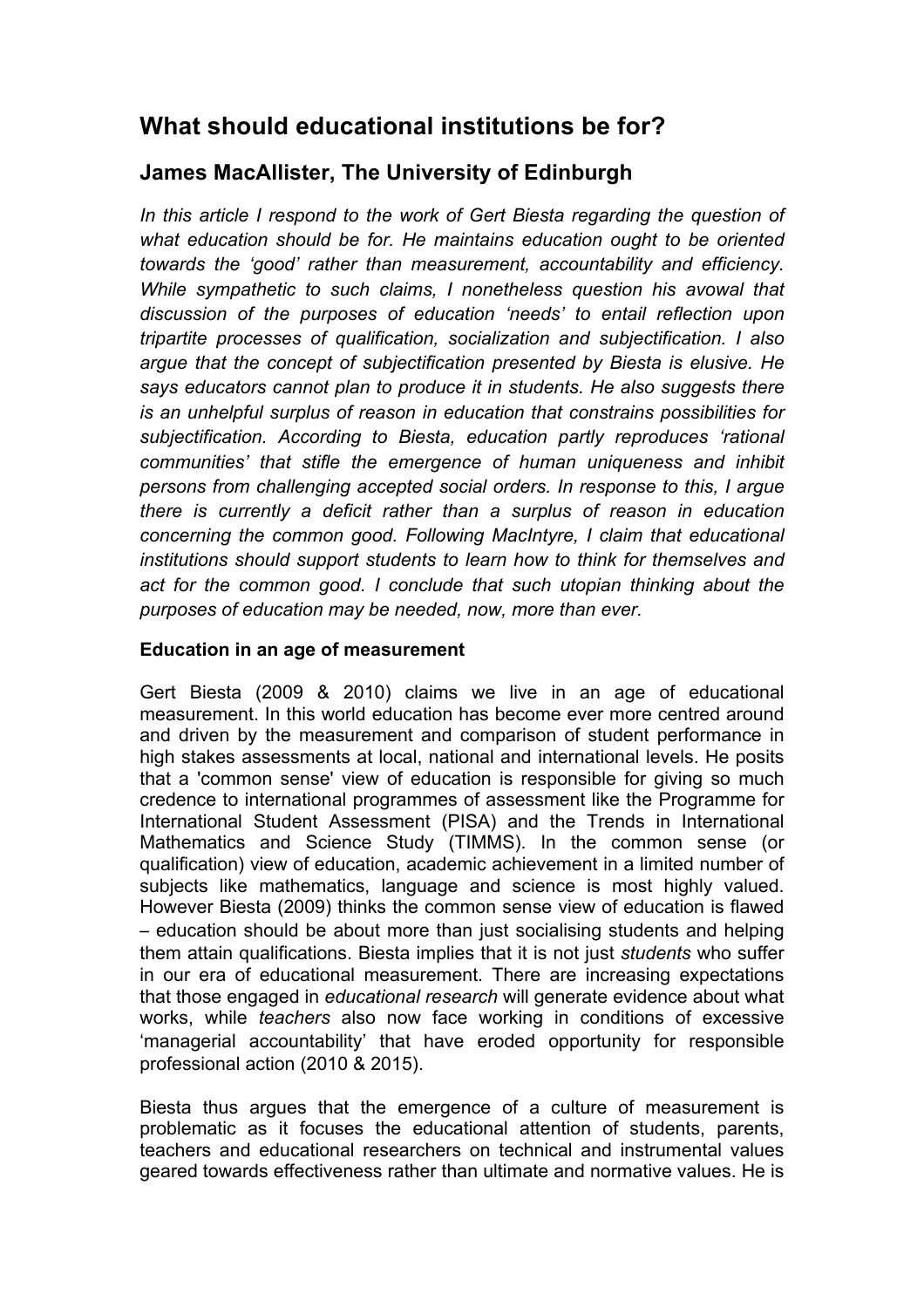## **What should educational institutions be for?**

### **James MacAllister, The University of Edinburgh**

*In this article I respond to the work of Gert Biesta regarding the question of what education should be for. He maintains education ought to be oriented towards the 'good' rather than measurement, accountability and efficiency. While sympathetic to such claims, I nonetheless question his avowal that discussion of the purposes of education 'needs' to entail reflection upon tripartite processes of qualification, socialization and subjectification. I also argue that the concept of subjectification presented by Biesta is elusive. He says educators cannot plan to produce it in students. He also suggests there is an unhelpful surplus of reason in education that constrains possibilities for subjectification. According to Biesta, education partly reproduces 'rational communities' that stifle the emergence of human uniqueness and inhibit persons from challenging accepted social orders. In response to this, I argue there is currently a deficit rather than a surplus of reason in education concerning the common good. Following MacIntyre, I claim that educational institutions should support students to learn how to think for themselves and act for the common good. I conclude that such utopian thinking about the purposes of education may be needed, now, more than ever.*

### **Education in an age of measurement**

Gert Biesta (2009 & 2010) claims we live in an age of educational measurement. In this world education has become ever more centred around and driven by the measurement and comparison of student performance in high stakes assessments at local, national and international levels. He posits that a 'common sense' view of education is responsible for giving so much credence to international programmes of assessment like the Programme for International Student Assessment (PISA) and the Trends in International Mathematics and Science Study (TIMMS). In the common sense (or qualification) view of education, academic achievement in a limited number of subjects like mathematics, language and science is most highly valued. However Biesta (2009) thinks the common sense view of education is flawed – education should be about more than just socialising students and helping them attain qualifications. Biesta implies that it is not just *students* who suffer in our era of educational measurement. There are increasing expectations that those engaged in *educational research* will generate evidence about what works, while *teachers* also now face working in conditions of excessive 'managerial accountability' that have eroded opportunity for responsible professional action (2010 & 2015).

Biesta thus argues that the emergence of a culture of measurement is problematic as it focuses the educational attention of students, parents, teachers and educational researchers on technical and instrumental values geared towards effectiveness rather than ultimate and normative values. He is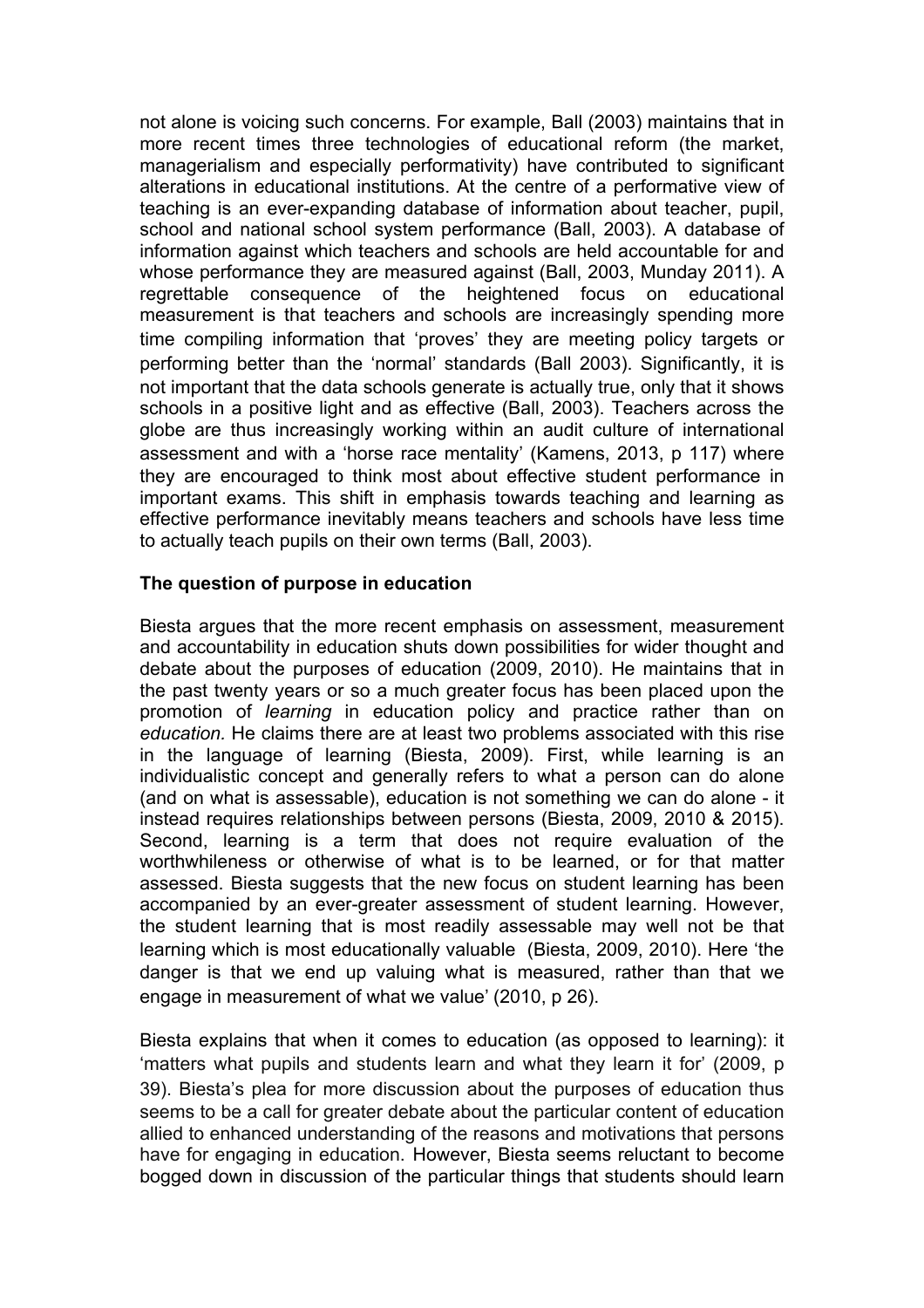not alone is voicing such concerns. For example, Ball (2003) maintains that in more recent times three technologies of educational reform (the market, managerialism and especially performativity) have contributed to significant alterations in educational institutions. At the centre of a performative view of teaching is an ever-expanding database of information about teacher, pupil, school and national school system performance (Ball, 2003). A database of information against which teachers and schools are held accountable for and whose performance they are measured against (Ball, 2003, Munday 2011). A regrettable consequence of the heightened focus on educational measurement is that teachers and schools are increasingly spending more time compiling information that 'proves' they are meeting policy targets or performing better than the 'normal' standards (Ball 2003). Significantly, it is not important that the data schools generate is actually true, only that it shows schools in a positive light and as effective (Ball, 2003). Teachers across the globe are thus increasingly working within an audit culture of international assessment and with a 'horse race mentality' (Kamens, 2013, p 117) where they are encouraged to think most about effective student performance in important exams. This shift in emphasis towards teaching and learning as effective performance inevitably means teachers and schools have less time to actually teach pupils on their own terms (Ball, 2003).

#### **The question of purpose in education**

Biesta argues that the more recent emphasis on assessment, measurement and accountability in education shuts down possibilities for wider thought and debate about the purposes of education (2009, 2010). He maintains that in the past twenty years or so a much greater focus has been placed upon the promotion of *learning* in education policy and practice rather than on *education.* He claims there are at least two problems associated with this rise in the language of learning (Biesta, 2009). First, while learning is an individualistic concept and generally refers to what a person can do alone (and on what is assessable), education is not something we can do alone - it instead requires relationships between persons (Biesta, 2009, 2010 & 2015). Second, learning is a term that does not require evaluation of the worthwhileness or otherwise of what is to be learned, or for that matter assessed. Biesta suggests that the new focus on student learning has been accompanied by an ever-greater assessment of student learning. However, the student learning that is most readily assessable may well not be that learning which is most educationally valuable (Biesta, 2009, 2010). Here 'the danger is that we end up valuing what is measured, rather than that we engage in measurement of what we value' (2010, p 26).

Biesta explains that when it comes to education (as opposed to learning): it 'matters what pupils and students learn and what they learn it for' (2009, p 39). Biesta's plea for more discussion about the purposes of education thus seems to be a call for greater debate about the particular content of education allied to enhanced understanding of the reasons and motivations that persons have for engaging in education. However, Biesta seems reluctant to become bogged down in discussion of the particular things that students should learn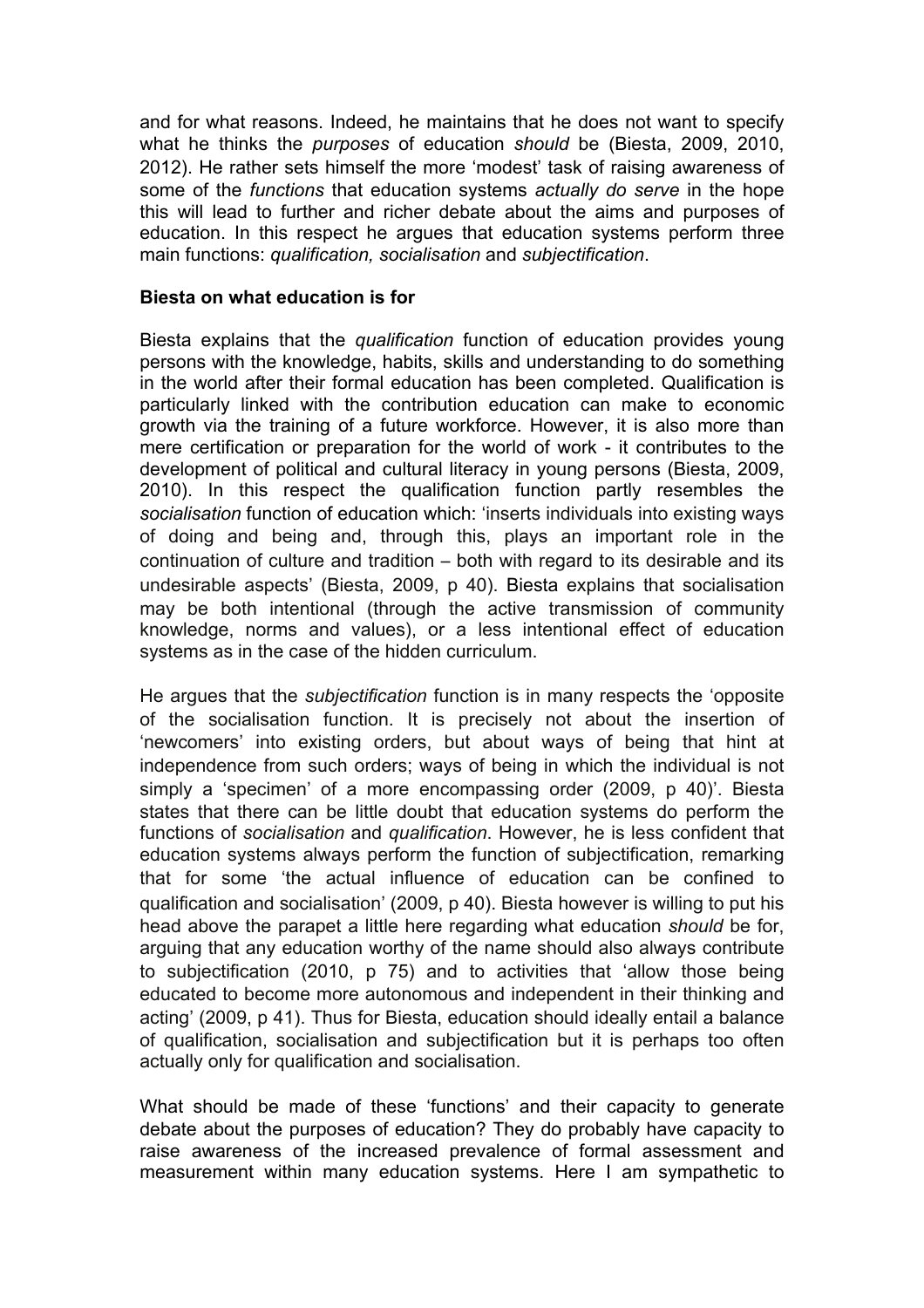and for what reasons. Indeed, he maintains that he does not want to specify what he thinks the *purposes* of education *should* be (Biesta, 2009, 2010, 2012). He rather sets himself the more 'modest' task of raising awareness of some of the *functions* that education systems *actually do serve* in the hope this will lead to further and richer debate about the aims and purposes of education. In this respect he argues that education systems perform three main functions: *qualification, socialisation* and *subjectification*.

#### **Biesta on what education is for**

Biesta explains that the *qualification* function of education provides young persons with the knowledge, habits, skills and understanding to do something in the world after their formal education has been completed. Qualification is particularly linked with the contribution education can make to economic growth via the training of a future workforce. However, it is also more than mere certification or preparation for the world of work - it contributes to the development of political and cultural literacy in young persons (Biesta, 2009, 2010). In this respect the qualification function partly resembles the *socialisation* function of education which: 'inserts individuals into existing ways of doing and being and, through this, plays an important role in the continuation of culture and tradition – both with regard to its desirable and its undesirable aspects' (Biesta, 2009, p 40). Biesta explains that socialisation may be both intentional (through the active transmission of community knowledge, norms and values), or a less intentional effect of education systems as in the case of the hidden curriculum.

He argues that the *subjectification* function is in many respects the 'opposite of the socialisation function. It is precisely not about the insertion of 'newcomers' into existing orders, but about ways of being that hint at independence from such orders; ways of being in which the individual is not simply a 'specimen' of a more encompassing order (2009, p 40)'. Biesta states that there can be little doubt that education systems do perform the functions of *socialisation* and *qualification*. However, he is less confident that education systems always perform the function of subjectification, remarking that for some 'the actual influence of education can be confined to qualification and socialisation' (2009, p 40). Biesta however is willing to put his head above the parapet a little here regarding what education *should* be for, arguing that any education worthy of the name should also always contribute to subjectification (2010, p 75) and to activities that 'allow those being educated to become more autonomous and independent in their thinking and acting' (2009, p 41). Thus for Biesta, education should ideally entail a balance of qualification, socialisation and subjectification but it is perhaps too often actually only for qualification and socialisation.

What should be made of these 'functions' and their capacity to generate debate about the purposes of education? They do probably have capacity to raise awareness of the increased prevalence of formal assessment and measurement within many education systems. Here I am sympathetic to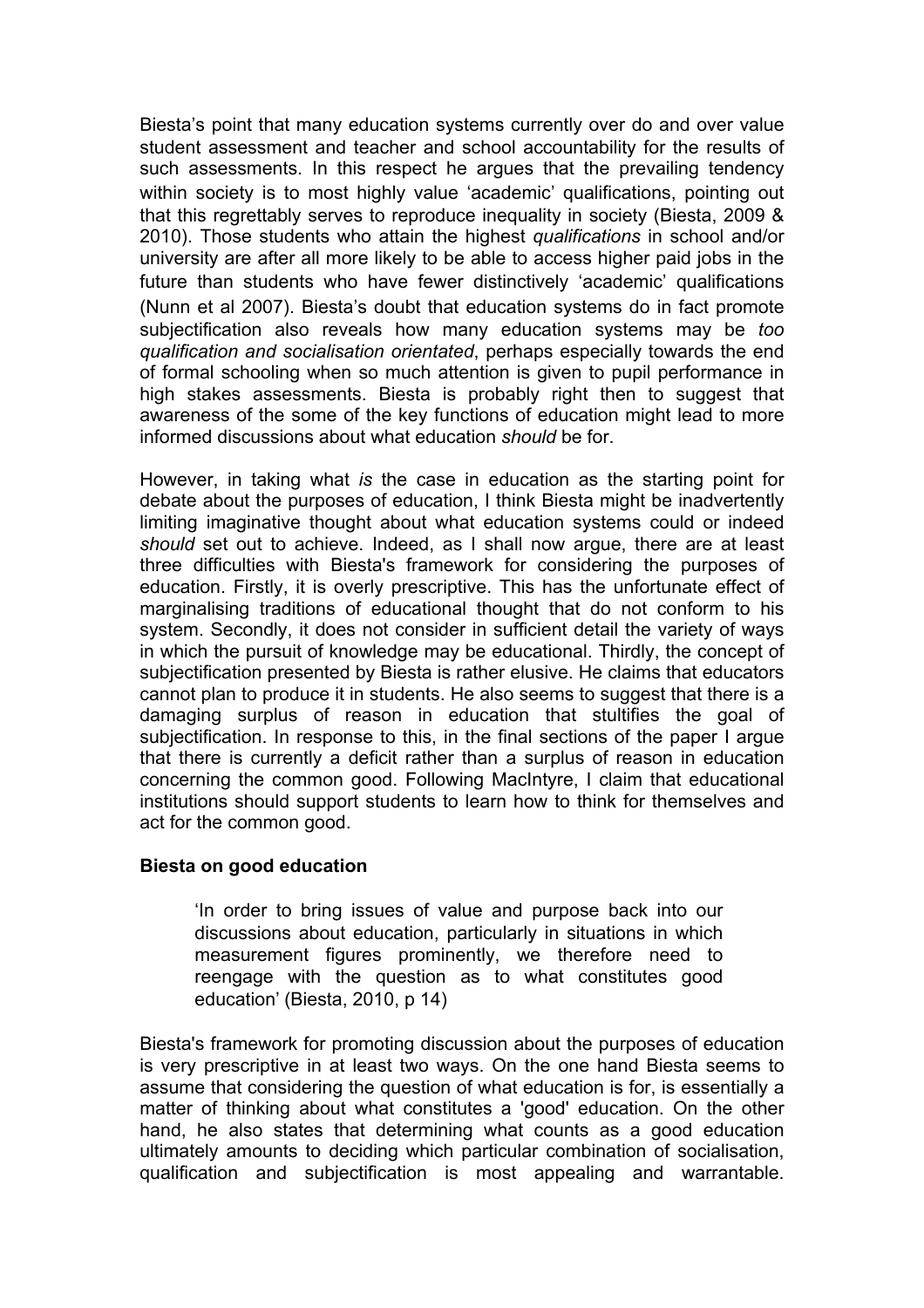Biesta's point that many education systems currently over do and over value student assessment and teacher and school accountability for the results of such assessments. In this respect he argues that the prevailing tendency within society is to most highly value 'academic' qualifications, pointing out that this regrettably serves to reproduce inequality in society (Biesta, 2009 & 2010). Those students who attain the highest *qualifications* in school and/or university are after all more likely to be able to access higher paid jobs in the future than students who have fewer distinctively 'academic' qualifications (Nunn et al 2007). Biesta's doubt that education systems do in fact promote subjectification also reveals how many education systems may be *too qualification and socialisation orientated*, perhaps especially towards the end of formal schooling when so much attention is given to pupil performance in high stakes assessments. Biesta is probably right then to suggest that awareness of the some of the key functions of education might lead to more informed discussions about what education *should* be for.

However, in taking what *is* the case in education as the starting point for debate about the purposes of education, I think Biesta might be inadvertently limiting imaginative thought about what education systems could or indeed *should* set out to achieve. Indeed, as I shall now argue, there are at least three difficulties with Biesta's framework for considering the purposes of education. Firstly, it is overly prescriptive. This has the unfortunate effect of marginalising traditions of educational thought that do not conform to his system. Secondly, it does not consider in sufficient detail the variety of ways in which the pursuit of knowledge may be educational. Thirdly, the concept of subjectification presented by Biesta is rather elusive. He claims that educators cannot plan to produce it in students. He also seems to suggest that there is a damaging surplus of reason in education that stultifies the goal of subjectification. In response to this, in the final sections of the paper I argue that there is currently a deficit rather than a surplus of reason in education concerning the common good. Following MacIntyre, I claim that educational institutions should support students to learn how to think for themselves and act for the common good.

#### **Biesta on good education**

'In order to bring issues of value and purpose back into our discussions about education, particularly in situations in which measurement figures prominently, we therefore need to reengage with the question as to what constitutes good education' (Biesta, 2010, p 14)

Biesta's framework for promoting discussion about the purposes of education is very prescriptive in at least two ways. On the one hand Biesta seems to assume that considering the question of what education is for, is essentially a matter of thinking about what constitutes a 'good' education. On the other hand, he also states that determining what counts as a good education ultimately amounts to deciding which particular combination of socialisation, qualification and subjectification is most appealing and warrantable.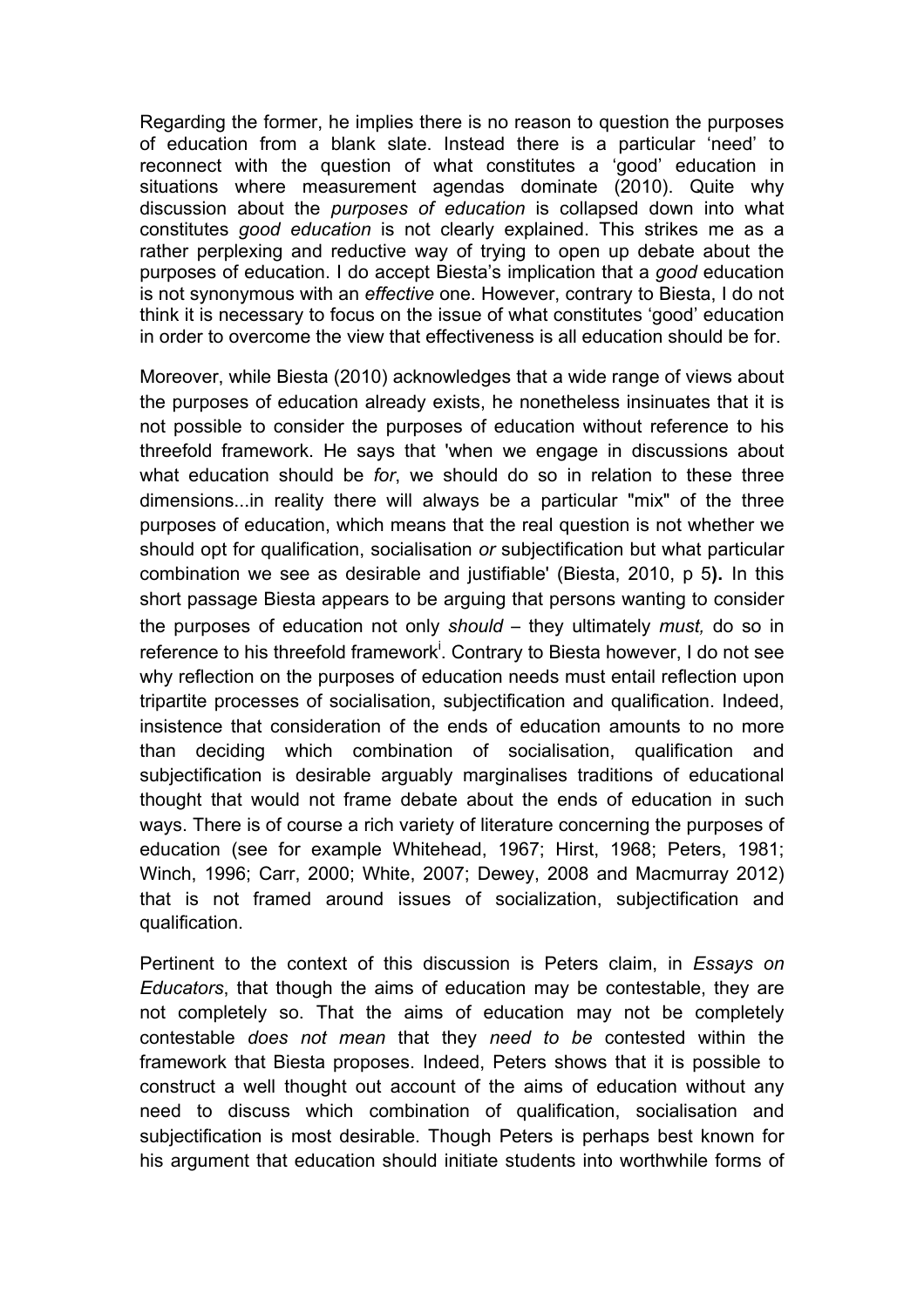Regarding the former, he implies there is no reason to question the purposes of education from a blank slate. Instead there is a particular 'need' to reconnect with the question of what constitutes a 'good' education in situations where measurement agendas dominate (2010). Quite why discussion about the *purposes of education* is collapsed down into what constitutes *good education* is not clearly explained. This strikes me as a rather perplexing and reductive way of trying to open up debate about the purposes of education. I do accept Biesta's implication that a *good* education is not synonymous with an *effective* one. However, contrary to Biesta, I do not think it is necessary to focus on the issue of what constitutes 'good' education in order to overcome the view that effectiveness is all education should be for.

Moreover, while Biesta (2010) acknowledges that a wide range of views about the purposes of education already exists, he nonetheless insinuates that it is not possible to consider the purposes of education without reference to his threefold framework. He says that 'when we engage in discussions about what education should be *for*, we should do so in relation to these three dimensions...in reality there will always be a particular "mix" of the three purposes of education, which means that the real question is not whether we should opt for qualification, socialisation *or* subjectification but what particular combination we see as desirable and justifiable' (Biesta, 2010, p 5**).** In this short passage Biesta appears to be arguing that persons wanting to consider the purposes of education not only *should* – they ultimately *must,* do so in reference to his threefold framework<sup>i</sup>. Contrary to Biesta however, I do not see why reflection on the purposes of education needs must entail reflection upon tripartite processes of socialisation, subjectification and qualification. Indeed, insistence that consideration of the ends of education amounts to no more than deciding which combination of socialisation, qualification and subjectification is desirable arguably marginalises traditions of educational thought that would not frame debate about the ends of education in such ways. There is of course a rich variety of literature concerning the purposes of education (see for example Whitehead, 1967; Hirst, 1968; Peters, 1981; Winch, 1996; Carr, 2000; White, 2007; Dewey, 2008 and Macmurray 2012) that is not framed around issues of socialization, subjectification and qualification.

Pertinent to the context of this discussion is Peters claim, in *Essays on Educators*, that though the aims of education may be contestable, they are not completely so. That the aims of education may not be completely contestable *does not mean* that they *need to be* contested within the framework that Biesta proposes. Indeed, Peters shows that it is possible to construct a well thought out account of the aims of education without any need to discuss which combination of qualification, socialisation and subjectification is most desirable. Though Peters is perhaps best known for his argument that education should initiate students into worthwhile forms of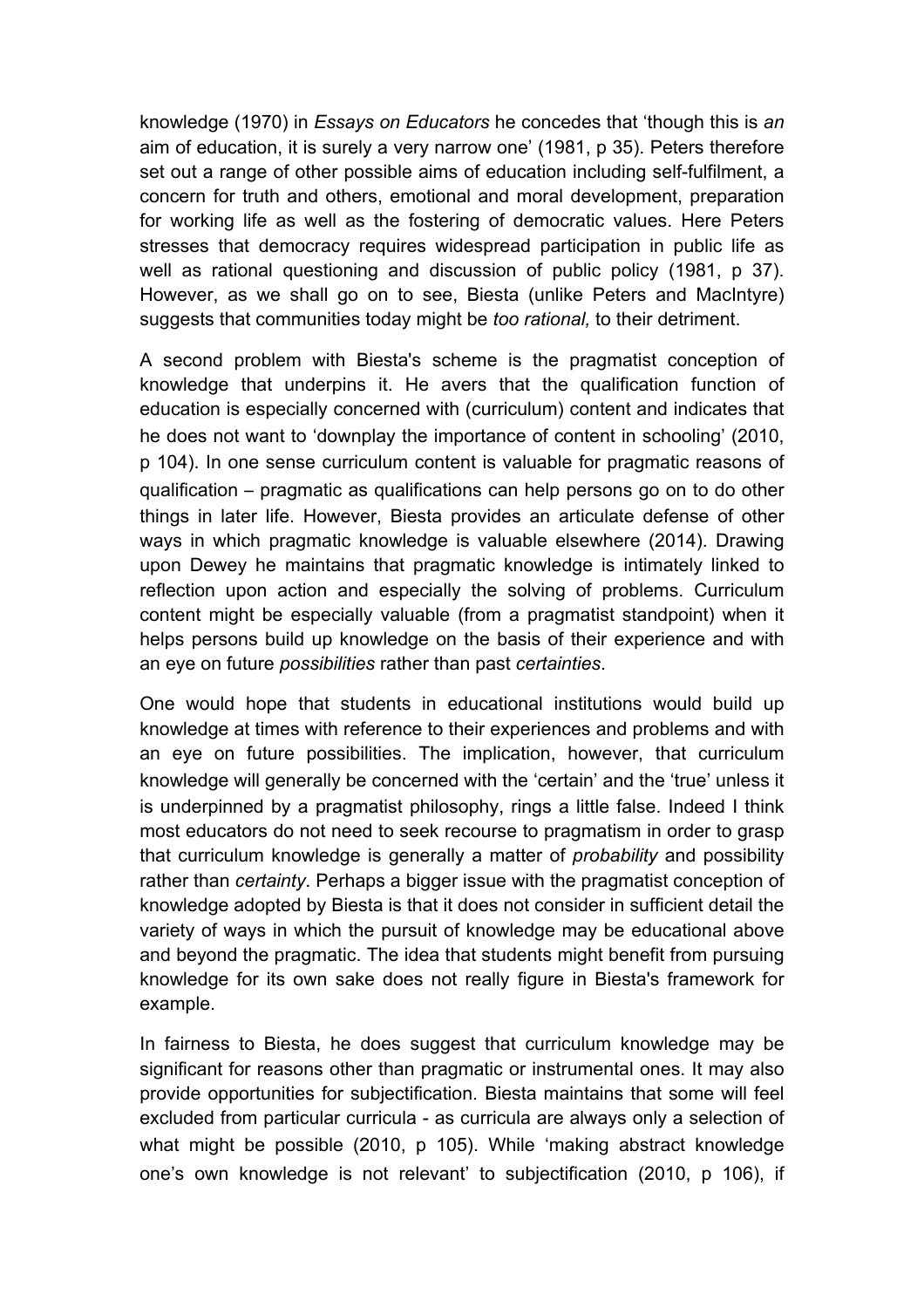knowledge (1970) in *Essays on Educators* he concedes that 'though this is *an* aim of education, it is surely a very narrow one' (1981, p 35). Peters therefore set out a range of other possible aims of education including self-fulfilment, a concern for truth and others, emotional and moral development, preparation for working life as well as the fostering of democratic values. Here Peters stresses that democracy requires widespread participation in public life as well as rational questioning and discussion of public policy (1981, p 37). However, as we shall go on to see, Biesta (unlike Peters and MacIntyre) suggests that communities today might be *too rational,* to their detriment.

A second problem with Biesta's scheme is the pragmatist conception of knowledge that underpins it. He avers that the qualification function of education is especially concerned with (curriculum) content and indicates that he does not want to 'downplay the importance of content in schooling' (2010, p 104). In one sense curriculum content is valuable for pragmatic reasons of qualification – pragmatic as qualifications can help persons go on to do other things in later life. However, Biesta provides an articulate defense of other ways in which pragmatic knowledge is valuable elsewhere (2014). Drawing upon Dewey he maintains that pragmatic knowledge is intimately linked to reflection upon action and especially the solving of problems. Curriculum content might be especially valuable (from a pragmatist standpoint) when it helps persons build up knowledge on the basis of their experience and with an eye on future *possibilities* rather than past *certainties*.

One would hope that students in educational institutions would build up knowledge at times with reference to their experiences and problems and with an eye on future possibilities. The implication, however, that curriculum knowledge will generally be concerned with the 'certain' and the 'true' unless it is underpinned by a pragmatist philosophy, rings a little false. Indeed I think most educators do not need to seek recourse to pragmatism in order to grasp that curriculum knowledge is generally a matter of *probability* and possibility rather than *certainty*. Perhaps a bigger issue with the pragmatist conception of knowledge adopted by Biesta is that it does not consider in sufficient detail the variety of ways in which the pursuit of knowledge may be educational above and beyond the pragmatic. The idea that students might benefit from pursuing knowledge for its own sake does not really figure in Biesta's framework for example.

In fairness to Biesta, he does suggest that curriculum knowledge may be significant for reasons other than pragmatic or instrumental ones. It may also provide opportunities for subjectification. Biesta maintains that some will feel excluded from particular curricula - as curricula are always only a selection of what might be possible (2010, p 105). While 'making abstract knowledge one's own knowledge is not relevant' to subjectification (2010, p 106), if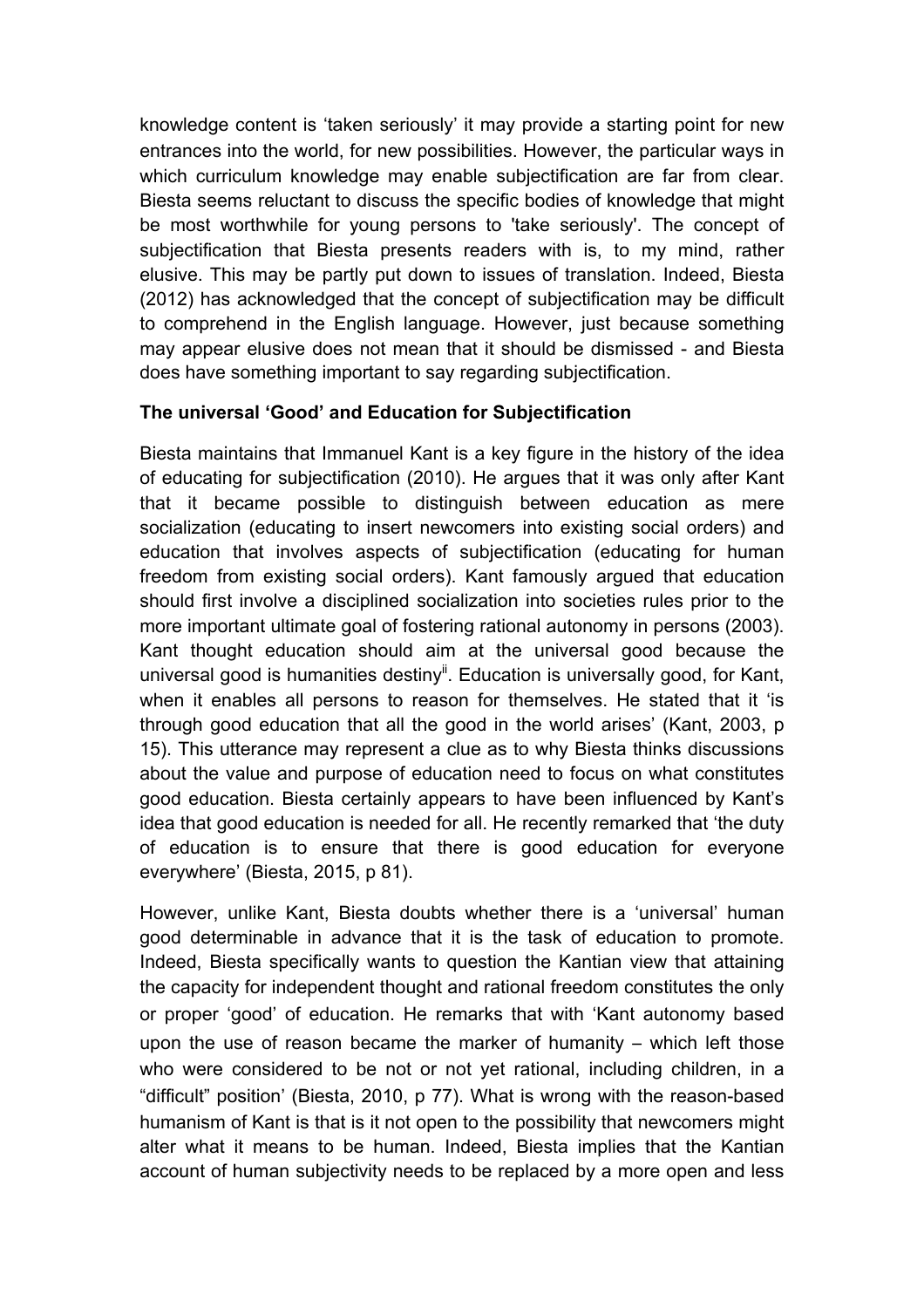knowledge content is 'taken seriously' it may provide a starting point for new entrances into the world, for new possibilities. However, the particular ways in which curriculum knowledge may enable subjectification are far from clear. Biesta seems reluctant to discuss the specific bodies of knowledge that might be most worthwhile for young persons to 'take seriously'. The concept of subjectification that Biesta presents readers with is, to my mind, rather elusive. This may be partly put down to issues of translation. Indeed, Biesta (2012) has acknowledged that the concept of subjectification may be difficult to comprehend in the English language. However, just because something may appear elusive does not mean that it should be dismissed - and Biesta does have something important to say regarding subjectification.

### **The universal 'Good' and Education for Subjectification**

Biesta maintains that Immanuel Kant is a key figure in the history of the idea of educating for subjectification (2010). He argues that it was only after Kant that it became possible to distinguish between education as mere socialization (educating to insert newcomers into existing social orders) and education that involves aspects of subjectification (educating for human freedom from existing social orders). Kant famously argued that education should first involve a disciplined socialization into societies rules prior to the more important ultimate goal of fostering rational autonomy in persons (2003). Kant thought education should aim at the universal good because the universal good is humanities destiny<sup>ii</sup>. Education is universally good, for Kant, when it enables all persons to reason for themselves. He stated that it 'is through good education that all the good in the world arises' (Kant, 2003, p 15). This utterance may represent a clue as to why Biesta thinks discussions about the value and purpose of education need to focus on what constitutes good education. Biesta certainly appears to have been influenced by Kant's idea that good education is needed for all. He recently remarked that 'the duty of education is to ensure that there is good education for everyone everywhere' (Biesta, 2015, p 81).

However, unlike Kant, Biesta doubts whether there is a 'universal' human good determinable in advance that it is the task of education to promote. Indeed, Biesta specifically wants to question the Kantian view that attaining the capacity for independent thought and rational freedom constitutes the only or proper 'good' of education. He remarks that with 'Kant autonomy based upon the use of reason became the marker of humanity – which left those who were considered to be not or not yet rational, including children, in a "difficult" position' (Biesta, 2010, p 77). What is wrong with the reason-based humanism of Kant is that is it not open to the possibility that newcomers might alter what it means to be human. Indeed, Biesta implies that the Kantian account of human subjectivity needs to be replaced by a more open and less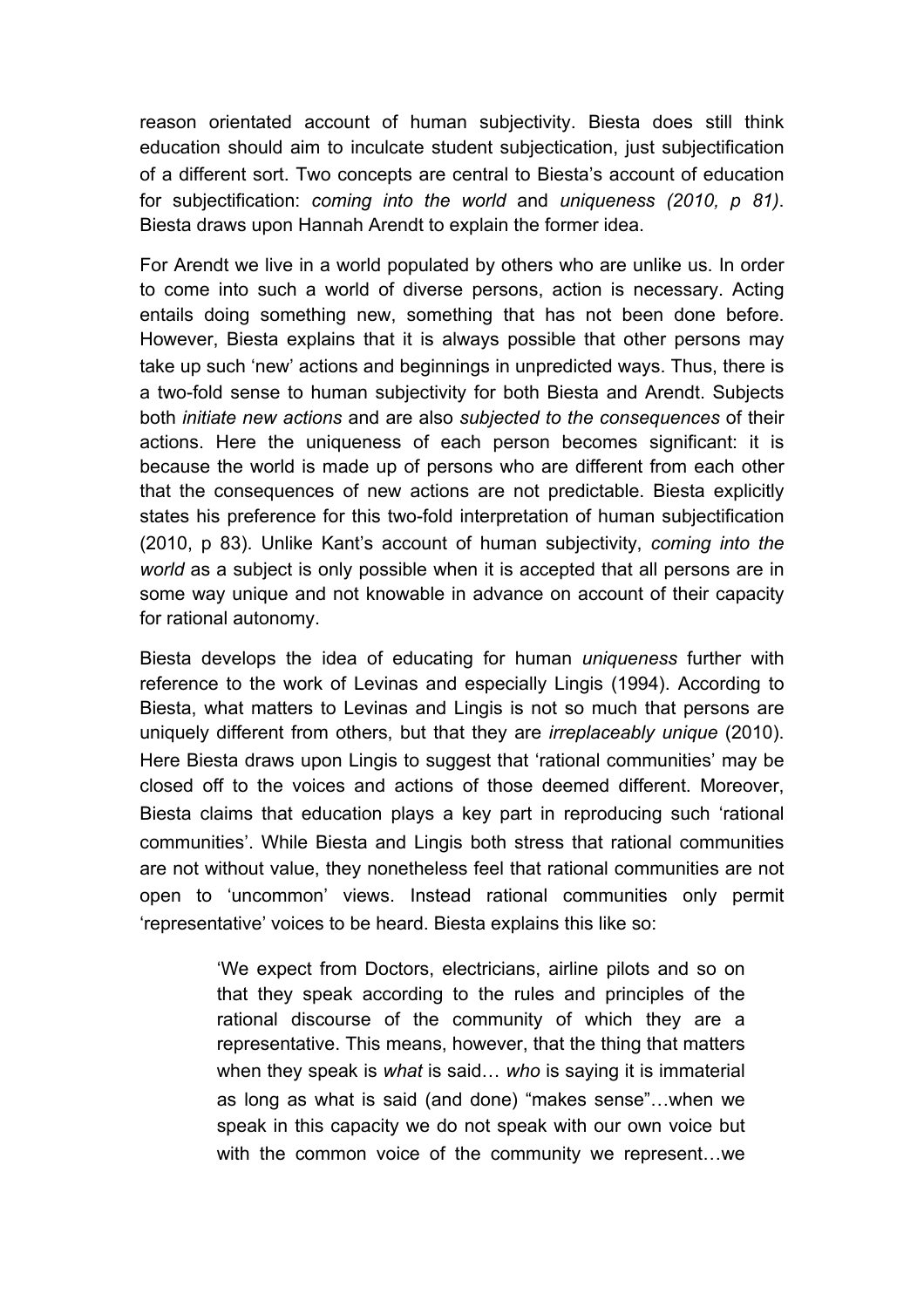reason orientated account of human subjectivity. Biesta does still think education should aim to inculcate student subjectication, just subjectification of a different sort. Two concepts are central to Biesta's account of education for subjectification: *coming into the world* and *uniqueness (2010, p 81)*. Biesta draws upon Hannah Arendt to explain the former idea.

For Arendt we live in a world populated by others who are unlike us. In order to come into such a world of diverse persons, action is necessary. Acting entails doing something new, something that has not been done before. However, Biesta explains that it is always possible that other persons may take up such 'new' actions and beginnings in unpredicted ways. Thus, there is a two-fold sense to human subjectivity for both Biesta and Arendt. Subjects both *initiate new actions* and are also *subjected to the consequences* of their actions. Here the uniqueness of each person becomes significant: it is because the world is made up of persons who are different from each other that the consequences of new actions are not predictable. Biesta explicitly states his preference for this two-fold interpretation of human subjectification (2010, p 83). Unlike Kant's account of human subjectivity, *coming into the world* as a subject is only possible when it is accepted that all persons are in some way unique and not knowable in advance on account of their capacity for rational autonomy.

Biesta develops the idea of educating for human *uniqueness* further with reference to the work of Levinas and especially Lingis (1994). According to Biesta, what matters to Levinas and Lingis is not so much that persons are uniquely different from others, but that they are *irreplaceably unique* (2010). Here Biesta draws upon Lingis to suggest that 'rational communities' may be closed off to the voices and actions of those deemed different. Moreover, Biesta claims that education plays a key part in reproducing such 'rational communities'. While Biesta and Lingis both stress that rational communities are not without value, they nonetheless feel that rational communities are not open to 'uncommon' views. Instead rational communities only permit 'representative' voices to be heard. Biesta explains this like so:

> 'We expect from Doctors, electricians, airline pilots and so on that they speak according to the rules and principles of the rational discourse of the community of which they are a representative. This means, however, that the thing that matters when they speak is *what* is said… *who* is saying it is immaterial as long as what is said (and done) "makes sense"…when we speak in this capacity we do not speak with our own voice but with the common voice of the community we represent…we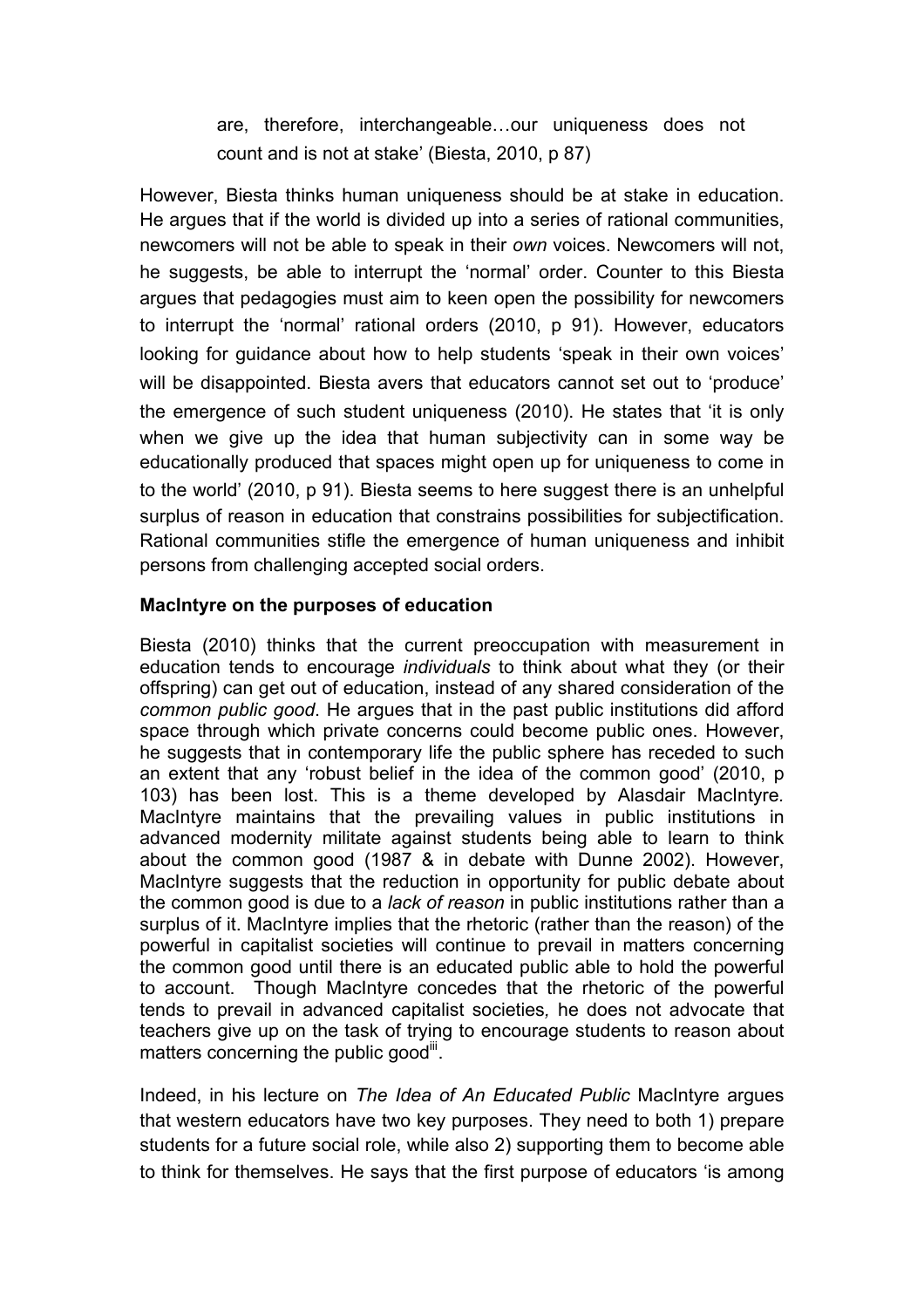are, therefore, interchangeable…our uniqueness does not count and is not at stake' (Biesta, 2010, p 87)

However, Biesta thinks human uniqueness should be at stake in education. He argues that if the world is divided up into a series of rational communities, newcomers will not be able to speak in their *own* voices. Newcomers will not, he suggests, be able to interrupt the 'normal' order. Counter to this Biesta argues that pedagogies must aim to keen open the possibility for newcomers to interrupt the 'normal' rational orders (2010, p 91). However, educators looking for guidance about how to help students 'speak in their own voices' will be disappointed. Biesta avers that educators cannot set out to 'produce' the emergence of such student uniqueness (2010). He states that 'it is only when we give up the idea that human subjectivity can in some way be educationally produced that spaces might open up for uniqueness to come in to the world' (2010, p 91). Biesta seems to here suggest there is an unhelpful surplus of reason in education that constrains possibilities for subjectification. Rational communities stifle the emergence of human uniqueness and inhibit persons from challenging accepted social orders.

#### **MacIntyre on the purposes of education**

Biesta (2010) thinks that the current preoccupation with measurement in education tends to encourage *individuals* to think about what they (or their offspring) can get out of education, instead of any shared consideration of the *common public good*. He argues that in the past public institutions did afford space through which private concerns could become public ones. However, he suggests that in contemporary life the public sphere has receded to such an extent that any 'robust belief in the idea of the common good' (2010, p 103) has been lost. This is a theme developed by Alasdair MacIntyre*.* MacIntyre maintains that the prevailing values in public institutions in advanced modernity militate against students being able to learn to think about the common good (1987 & in debate with Dunne 2002). However, MacIntyre suggests that the reduction in opportunity for public debate about the common good is due to a *lack of reason* in public institutions rather than a surplus of it. MacIntyre implies that the rhetoric (rather than the reason) of the powerful in capitalist societies will continue to prevail in matters concerning the common good until there is an educated public able to hold the powerful to account. Though MacIntyre concedes that the rhetoric of the powerful tends to prevail in advanced capitalist societies*,* he does not advocate that teachers give up on the task of trying to encourage students to reason about matters concerning the public good<sup>iii</sup>.

Indeed, in his lecture on *The Idea of An Educated Public* MacIntyre argues that western educators have two key purposes. They need to both 1) prepare students for a future social role, while also 2) supporting them to become able to think for themselves. He says that the first purpose of educators 'is among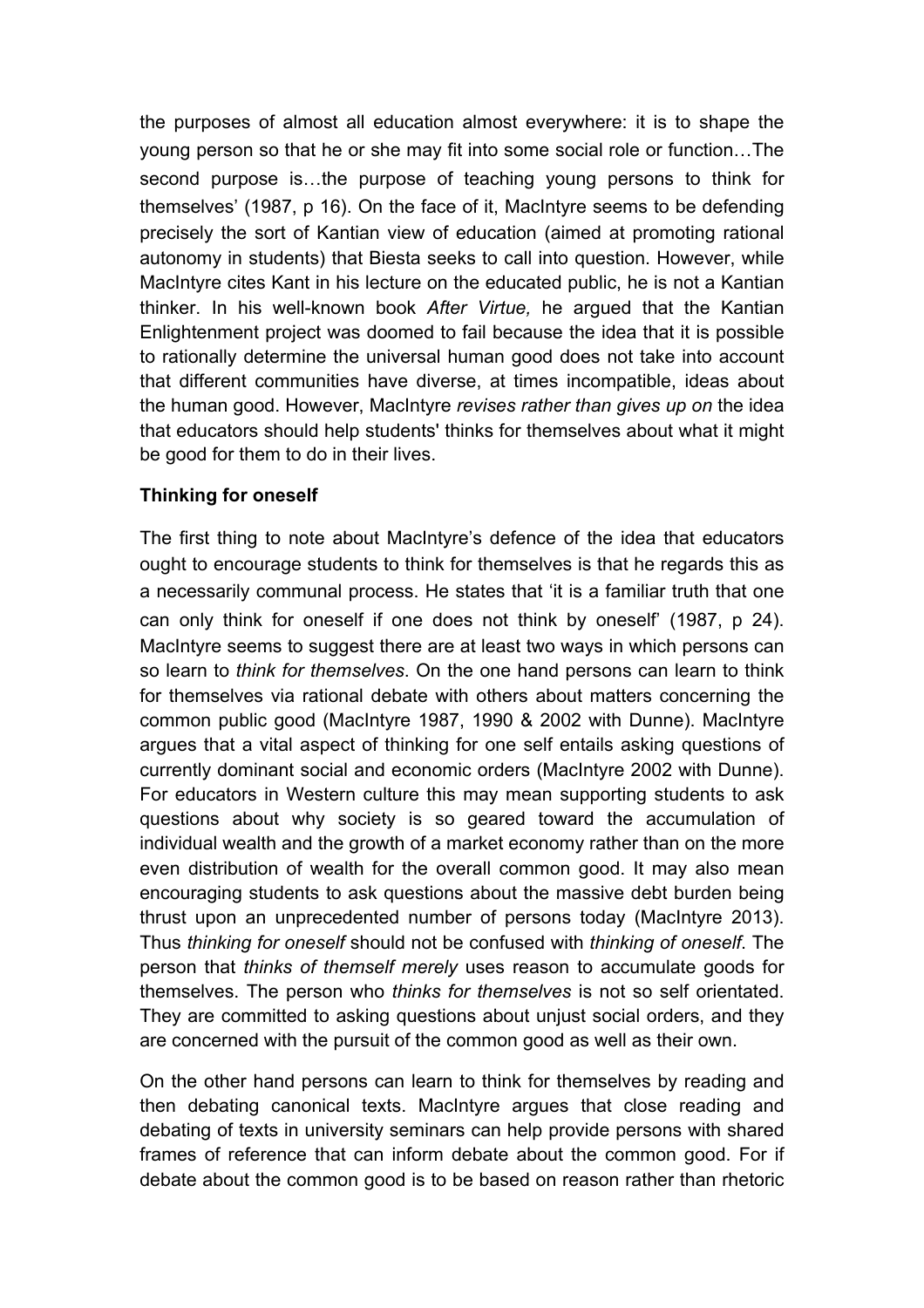the purposes of almost all education almost everywhere: it is to shape the young person so that he or she may fit into some social role or function…The second purpose is…the purpose of teaching young persons to think for themselves' (1987, p 16). On the face of it, MacIntyre seems to be defending precisely the sort of Kantian view of education (aimed at promoting rational autonomy in students) that Biesta seeks to call into question. However, while MacIntyre cites Kant in his lecture on the educated public, he is not a Kantian thinker. In his well-known book *After Virtue,* he argued that the Kantian Enlightenment project was doomed to fail because the idea that it is possible to rationally determine the universal human good does not take into account that different communities have diverse, at times incompatible, ideas about the human good. However, MacIntyre *revises rather than gives up on* the idea that educators should help students' thinks for themselves about what it might be good for them to do in their lives.

### **Thinking for oneself**

The first thing to note about MacIntyre's defence of the idea that educators ought to encourage students to think for themselves is that he regards this as a necessarily communal process. He states that 'it is a familiar truth that one can only think for oneself if one does not think by oneself' (1987, p 24). MacIntyre seems to suggest there are at least two ways in which persons can so learn to *think for themselves*. On the one hand persons can learn to think for themselves via rational debate with others about matters concerning the common public good (MacIntyre 1987, 1990 & 2002 with Dunne). MacIntyre argues that a vital aspect of thinking for one self entails asking questions of currently dominant social and economic orders (MacIntyre 2002 with Dunne). For educators in Western culture this may mean supporting students to ask questions about why society is so geared toward the accumulation of individual wealth and the growth of a market economy rather than on the more even distribution of wealth for the overall common good. It may also mean encouraging students to ask questions about the massive debt burden being thrust upon an unprecedented number of persons today (MacIntyre 2013). Thus *thinking for oneself* should not be confused with *thinking of oneself*. The person that *thinks of themself merely* uses reason to accumulate goods for themselves. The person who *thinks for themselves* is not so self orientated. They are committed to asking questions about unjust social orders, and they are concerned with the pursuit of the common good as well as their own.

On the other hand persons can learn to think for themselves by reading and then debating canonical texts. MacIntyre argues that close reading and debating of texts in university seminars can help provide persons with shared frames of reference that can inform debate about the common good. For if debate about the common good is to be based on reason rather than rhetoric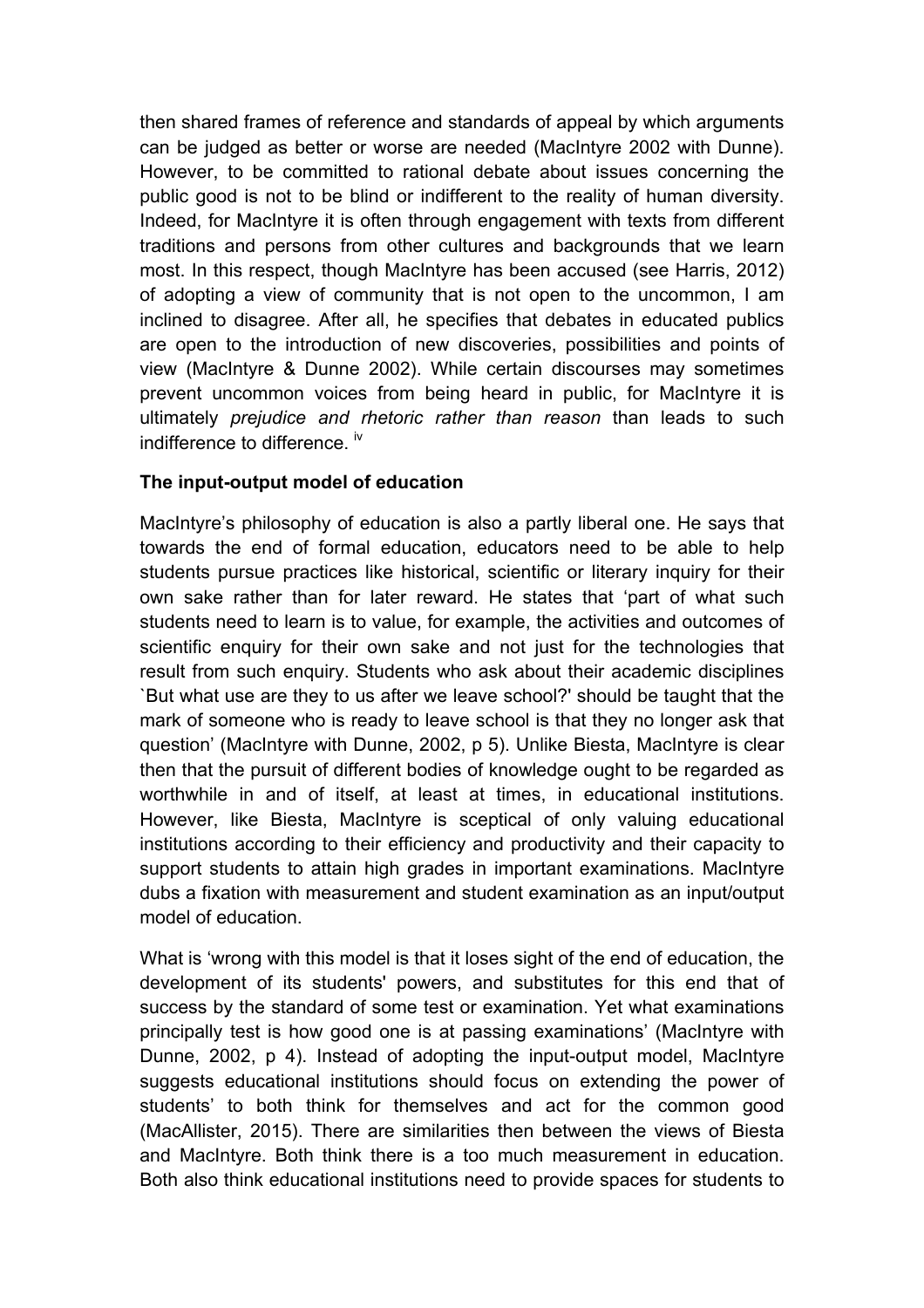then shared frames of reference and standards of appeal by which arguments can be judged as better or worse are needed (MacIntyre 2002 with Dunne). However, to be committed to rational debate about issues concerning the public good is not to be blind or indifferent to the reality of human diversity. Indeed, for MacIntyre it is often through engagement with texts from different traditions and persons from other cultures and backgrounds that we learn most. In this respect, though MacIntyre has been accused (see Harris, 2012) of adopting a view of community that is not open to the uncommon, I am inclined to disagree. After all, he specifies that debates in educated publics are open to the introduction of new discoveries, possibilities and points of view (MacIntyre & Dunne 2002). While certain discourses may sometimes prevent uncommon voices from being heard in public, for MacIntyre it is ultimately *prejudice and rhetoric rather than reason* than leads to such indifference to difference. <sup>iv</sup>

### **The input-output model of education**

MacIntyre's philosophy of education is also a partly liberal one. He says that towards the end of formal education, educators need to be able to help students pursue practices like historical, scientific or literary inquiry for their own sake rather than for later reward. He states that 'part of what such students need to learn is to value, for example, the activities and outcomes of scientific enquiry for their own sake and not just for the technologies that result from such enquiry. Students who ask about their academic disciplines `But what use are they to us after we leave school?' should be taught that the mark of someone who is ready to leave school is that they no longer ask that question' (MacIntyre with Dunne, 2002, p 5). Unlike Biesta, MacIntyre is clear then that the pursuit of different bodies of knowledge ought to be regarded as worthwhile in and of itself, at least at times, in educational institutions. However, like Biesta, MacIntyre is sceptical of only valuing educational institutions according to their efficiency and productivity and their capacity to support students to attain high grades in important examinations. MacIntyre dubs a fixation with measurement and student examination as an input/output model of education.

What is 'wrong with this model is that it loses sight of the end of education, the development of its students' powers, and substitutes for this end that of success by the standard of some test or examination. Yet what examinations principally test is how good one is at passing examinations' (MacIntyre with Dunne, 2002, p 4). Instead of adopting the input-output model, MacIntyre suggests educational institutions should focus on extending the power of students' to both think for themselves and act for the common good (MacAllister, 2015). There are similarities then between the views of Biesta and MacIntyre. Both think there is a too much measurement in education. Both also think educational institutions need to provide spaces for students to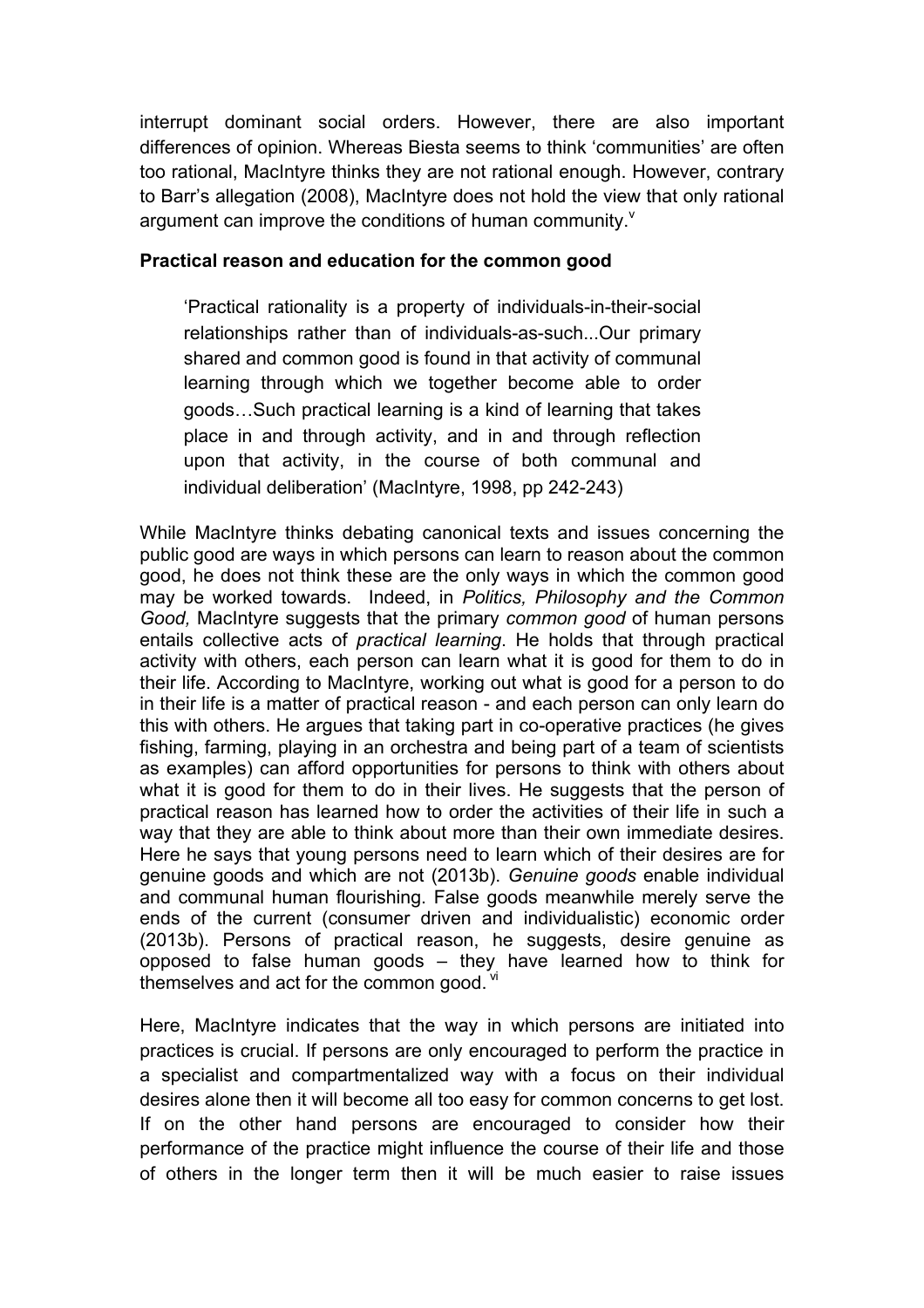interrupt dominant social orders. However, there are also important differences of opinion. Whereas Biesta seems to think 'communities' are often too rational, MacIntyre thinks they are not rational enough. However, contrary to Barr's allegation (2008), MacIntyre does not hold the view that only rational argument can improve the conditions of human community. $^{\vee}$ 

#### **Practical reason and education for the common good**

'Practical rationality is a property of individuals-in-their-social relationships rather than of individuals-as-such...Our primary shared and common good is found in that activity of communal learning through which we together become able to order goods…Such practical learning is a kind of learning that takes place in and through activity, and in and through reflection upon that activity, in the course of both communal and individual deliberation' (MacIntyre, 1998, pp 242-243)

While MacIntyre thinks debating canonical texts and issues concerning the public good are ways in which persons can learn to reason about the common good, he does not think these are the only ways in which the common good may be worked towards. Indeed, in *Politics, Philosophy and the Common Good,* MacIntyre suggests that the primary *common good* of human persons entails collective acts of *practical learning*. He holds that through practical activity with others, each person can learn what it is good for them to do in their life. According to MacIntyre, working out what is good for a person to do in their life is a matter of practical reason - and each person can only learn do this with others. He argues that taking part in co-operative practices (he gives fishing, farming, playing in an orchestra and being part of a team of scientists as examples) can afford opportunities for persons to think with others about what it is good for them to do in their lives. He suggests that the person of practical reason has learned how to order the activities of their life in such a way that they are able to think about more than their own immediate desires. Here he says that young persons need to learn which of their desires are for genuine goods and which are not (2013b). *Genuine goods* enable individual and communal human flourishing. False goods meanwhile merely serve the ends of the current (consumer driven and individualistic) economic order (2013b). Persons of practical reason, he suggests, desire genuine as opposed to false human goods – they have learned how to think for themselves and act for the common good.  $\mathbf{v}$ 

Here, MacIntyre indicates that the way in which persons are initiated into practices is crucial. If persons are only encouraged to perform the practice in a specialist and compartmentalized way with a focus on their individual desires alone then it will become all too easy for common concerns to get lost. If on the other hand persons are encouraged to consider how their performance of the practice might influence the course of their life and those of others in the longer term then it will be much easier to raise issues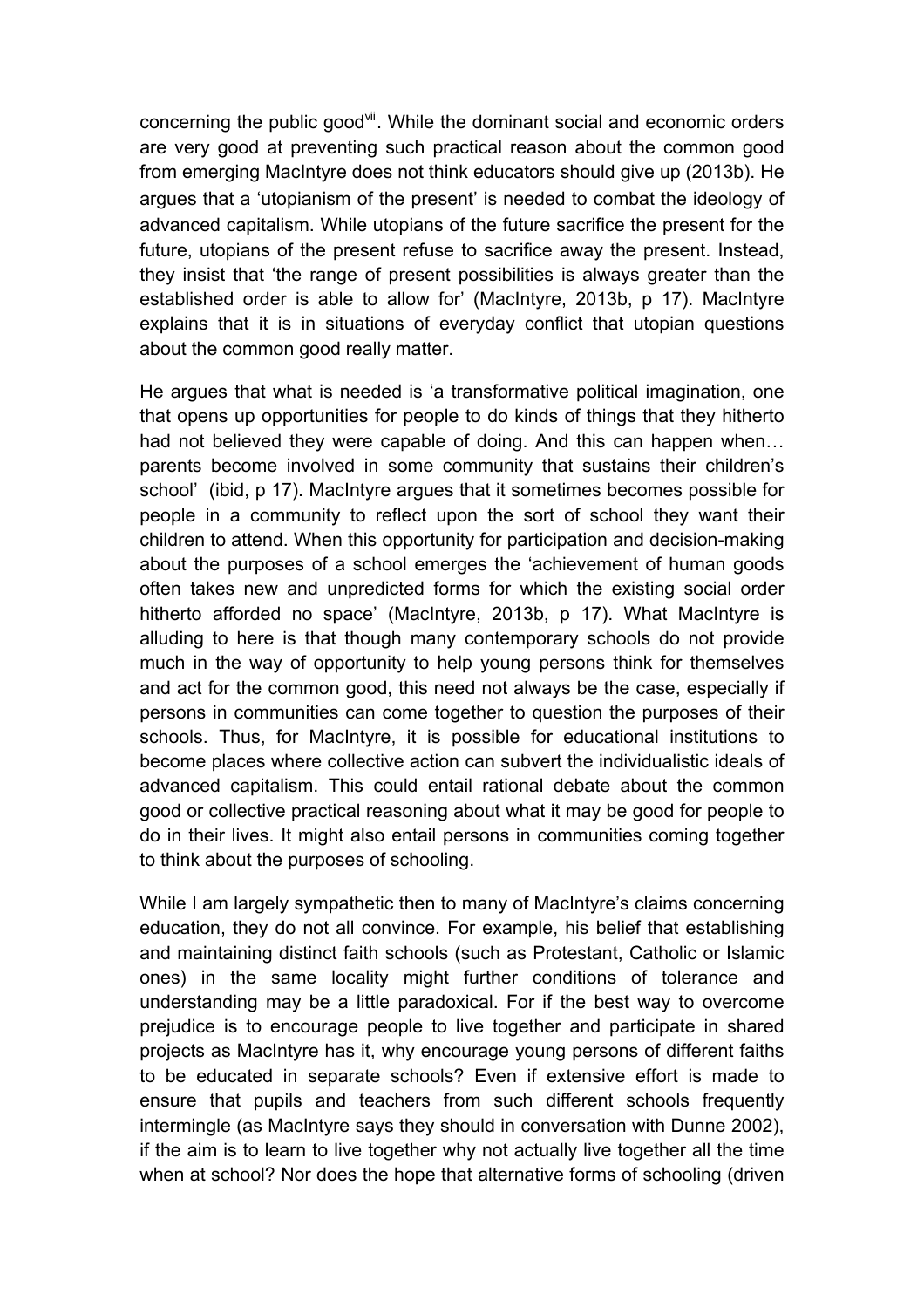concerning the public good<sup>vii</sup>. While the dominant social and economic orders are very good at preventing such practical reason about the common good from emerging MacIntyre does not think educators should give up (2013b). He argues that a 'utopianism of the present' is needed to combat the ideology of advanced capitalism. While utopians of the future sacrifice the present for the future, utopians of the present refuse to sacrifice away the present. Instead, they insist that 'the range of present possibilities is always greater than the established order is able to allow for' (MacIntyre, 2013b, p 17). MacIntyre explains that it is in situations of everyday conflict that utopian questions about the common good really matter.

He argues that what is needed is 'a transformative political imagination, one that opens up opportunities for people to do kinds of things that they hitherto had not believed they were capable of doing. And this can happen when… parents become involved in some community that sustains their children's school' (ibid, p 17). MacIntyre argues that it sometimes becomes possible for people in a community to reflect upon the sort of school they want their children to attend. When this opportunity for participation and decision-making about the purposes of a school emerges the 'achievement of human goods often takes new and unpredicted forms for which the existing social order hitherto afforded no space' (MacIntyre, 2013b, p 17). What MacIntyre is alluding to here is that though many contemporary schools do not provide much in the way of opportunity to help young persons think for themselves and act for the common good, this need not always be the case, especially if persons in communities can come together to question the purposes of their schools. Thus, for MacIntyre, it is possible for educational institutions to become places where collective action can subvert the individualistic ideals of advanced capitalism. This could entail rational debate about the common good or collective practical reasoning about what it may be good for people to do in their lives. It might also entail persons in communities coming together to think about the purposes of schooling.

While I am largely sympathetic then to many of MacIntyre's claims concerning education, they do not all convince. For example, his belief that establishing and maintaining distinct faith schools (such as Protestant, Catholic or Islamic ones) in the same locality might further conditions of tolerance and understanding may be a little paradoxical. For if the best way to overcome prejudice is to encourage people to live together and participate in shared projects as MacIntyre has it, why encourage young persons of different faiths to be educated in separate schools? Even if extensive effort is made to ensure that pupils and teachers from such different schools frequently intermingle (as MacIntyre says they should in conversation with Dunne 2002), if the aim is to learn to live together why not actually live together all the time when at school? Nor does the hope that alternative forms of schooling (driven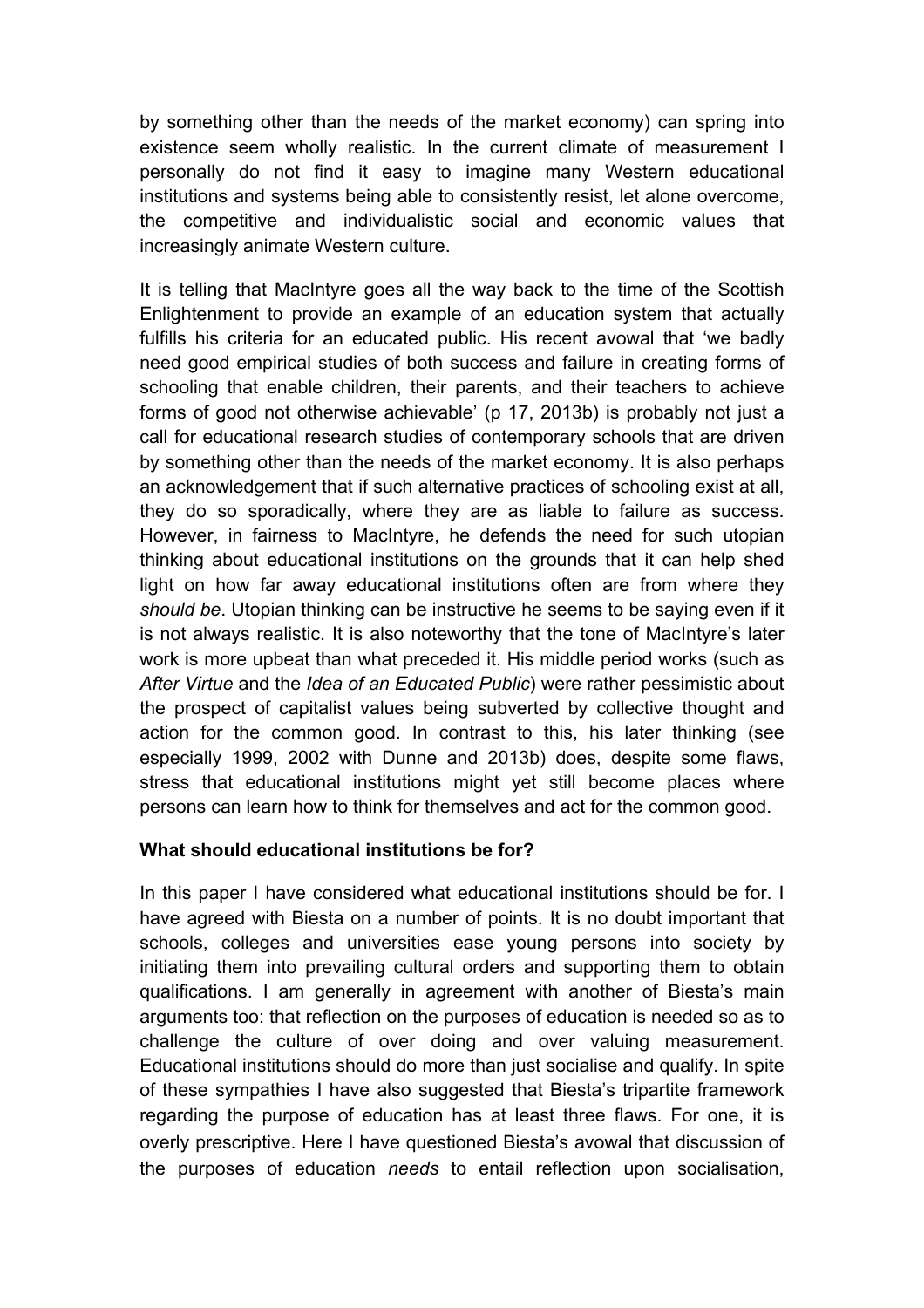by something other than the needs of the market economy) can spring into existence seem wholly realistic. In the current climate of measurement I personally do not find it easy to imagine many Western educational institutions and systems being able to consistently resist, let alone overcome, the competitive and individualistic social and economic values that increasingly animate Western culture.

It is telling that MacIntyre goes all the way back to the time of the Scottish Enlightenment to provide an example of an education system that actually fulfills his criteria for an educated public. His recent avowal that 'we badly need good empirical studies of both success and failure in creating forms of schooling that enable children, their parents, and their teachers to achieve forms of good not otherwise achievable' (p 17, 2013b) is probably not just a call for educational research studies of contemporary schools that are driven by something other than the needs of the market economy. It is also perhaps an acknowledgement that if such alternative practices of schooling exist at all, they do so sporadically, where they are as liable to failure as success. However, in fairness to MacIntyre, he defends the need for such utopian thinking about educational institutions on the grounds that it can help shed light on how far away educational institutions often are from where they *should be*. Utopian thinking can be instructive he seems to be saying even if it is not always realistic. It is also noteworthy that the tone of MacIntyre's later work is more upbeat than what preceded it. His middle period works (such as *After Virtue* and the *Idea of an Educated Public*) were rather pessimistic about the prospect of capitalist values being subverted by collective thought and action for the common good. In contrast to this, his later thinking (see especially 1999, 2002 with Dunne and 2013b) does, despite some flaws, stress that educational institutions might yet still become places where persons can learn how to think for themselves and act for the common good.

### **What should educational institutions be for?**

In this paper I have considered what educational institutions should be for. I have agreed with Biesta on a number of points. It is no doubt important that schools, colleges and universities ease young persons into society by initiating them into prevailing cultural orders and supporting them to obtain qualifications. I am generally in agreement with another of Biesta's main arguments too: that reflection on the purposes of education is needed so as to challenge the culture of over doing and over valuing measurement. Educational institutions should do more than just socialise and qualify. In spite of these sympathies I have also suggested that Biesta's tripartite framework regarding the purpose of education has at least three flaws. For one, it is overly prescriptive. Here I have questioned Biesta's avowal that discussion of the purposes of education *needs* to entail reflection upon socialisation,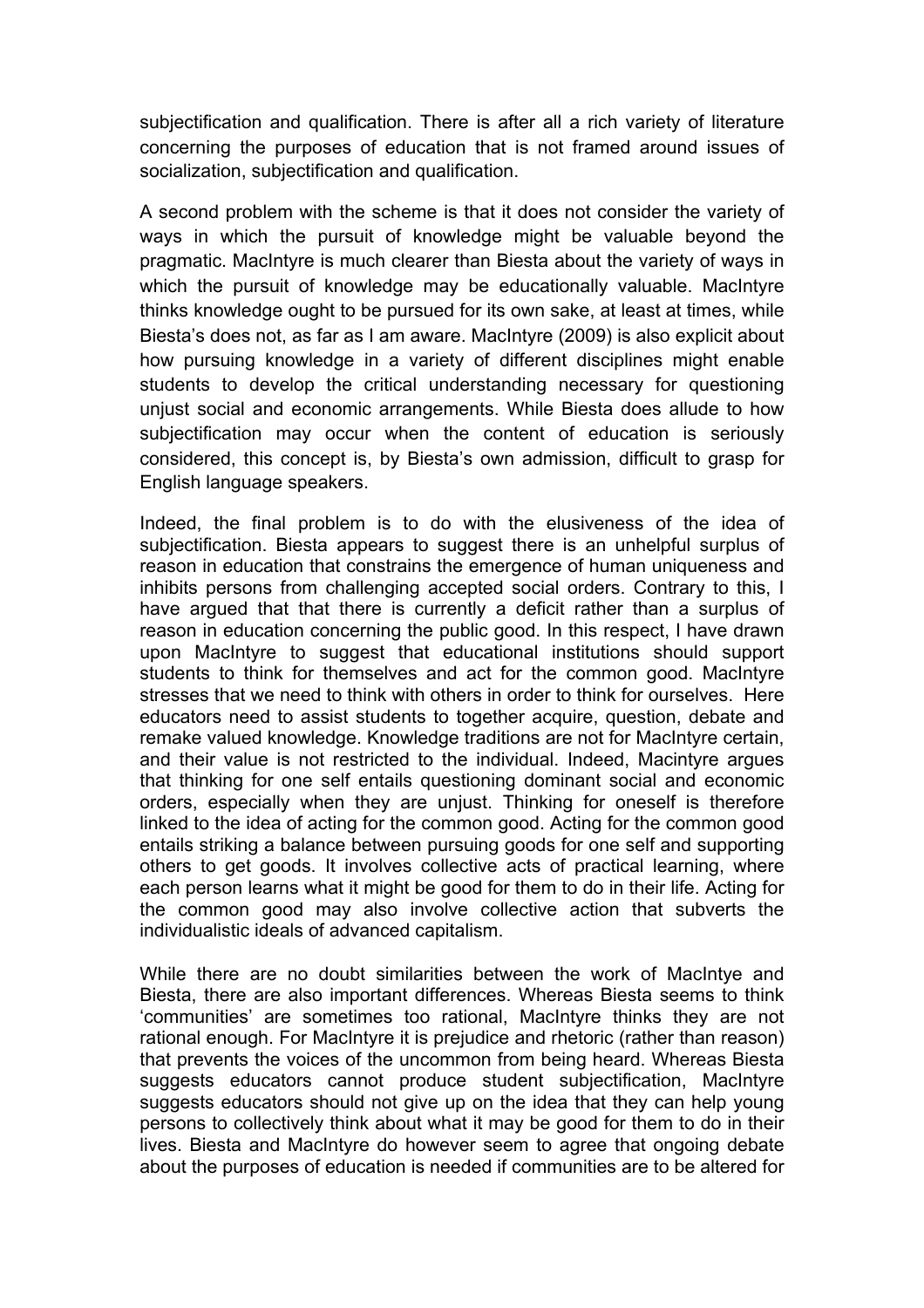subjectification and qualification. There is after all a rich variety of literature concerning the purposes of education that is not framed around issues of socialization, subjectification and qualification.

A second problem with the scheme is that it does not consider the variety of ways in which the pursuit of knowledge might be valuable beyond the pragmatic. MacIntyre is much clearer than Biesta about the variety of ways in which the pursuit of knowledge may be educationally valuable. MacIntyre thinks knowledge ought to be pursued for its own sake, at least at times, while Biesta's does not, as far as I am aware. MacIntyre (2009) is also explicit about how pursuing knowledge in a variety of different disciplines might enable students to develop the critical understanding necessary for questioning unjust social and economic arrangements. While Biesta does allude to how subjectification may occur when the content of education is seriously considered, this concept is, by Biesta's own admission, difficult to grasp for English language speakers.

Indeed, the final problem is to do with the elusiveness of the idea of subjectification. Biesta appears to suggest there is an unhelpful surplus of reason in education that constrains the emergence of human uniqueness and inhibits persons from challenging accepted social orders. Contrary to this, I have argued that that there is currently a deficit rather than a surplus of reason in education concerning the public good. In this respect, I have drawn upon MacIntyre to suggest that educational institutions should support students to think for themselves and act for the common good. MacIntyre stresses that we need to think with others in order to think for ourselves. Here educators need to assist students to together acquire, question, debate and remake valued knowledge. Knowledge traditions are not for MacIntyre certain, and their value is not restricted to the individual. Indeed, Macintyre argues that thinking for one self entails questioning dominant social and economic orders, especially when they are unjust. Thinking for oneself is therefore linked to the idea of acting for the common good. Acting for the common good entails striking a balance between pursuing goods for one self and supporting others to get goods. It involves collective acts of practical learning, where each person learns what it might be good for them to do in their life. Acting for the common good may also involve collective action that subverts the individualistic ideals of advanced capitalism.

While there are no doubt similarities between the work of MacIntye and Biesta, there are also important differences. Whereas Biesta seems to think 'communities' are sometimes too rational, MacIntyre thinks they are not rational enough. For MacIntyre it is prejudice and rhetoric (rather than reason) that prevents the voices of the uncommon from being heard. Whereas Biesta suggests educators cannot produce student subjectification, MacIntyre suggests educators should not give up on the idea that they can help young persons to collectively think about what it may be good for them to do in their lives. Biesta and MacIntyre do however seem to agree that ongoing debate about the purposes of education is needed if communities are to be altered for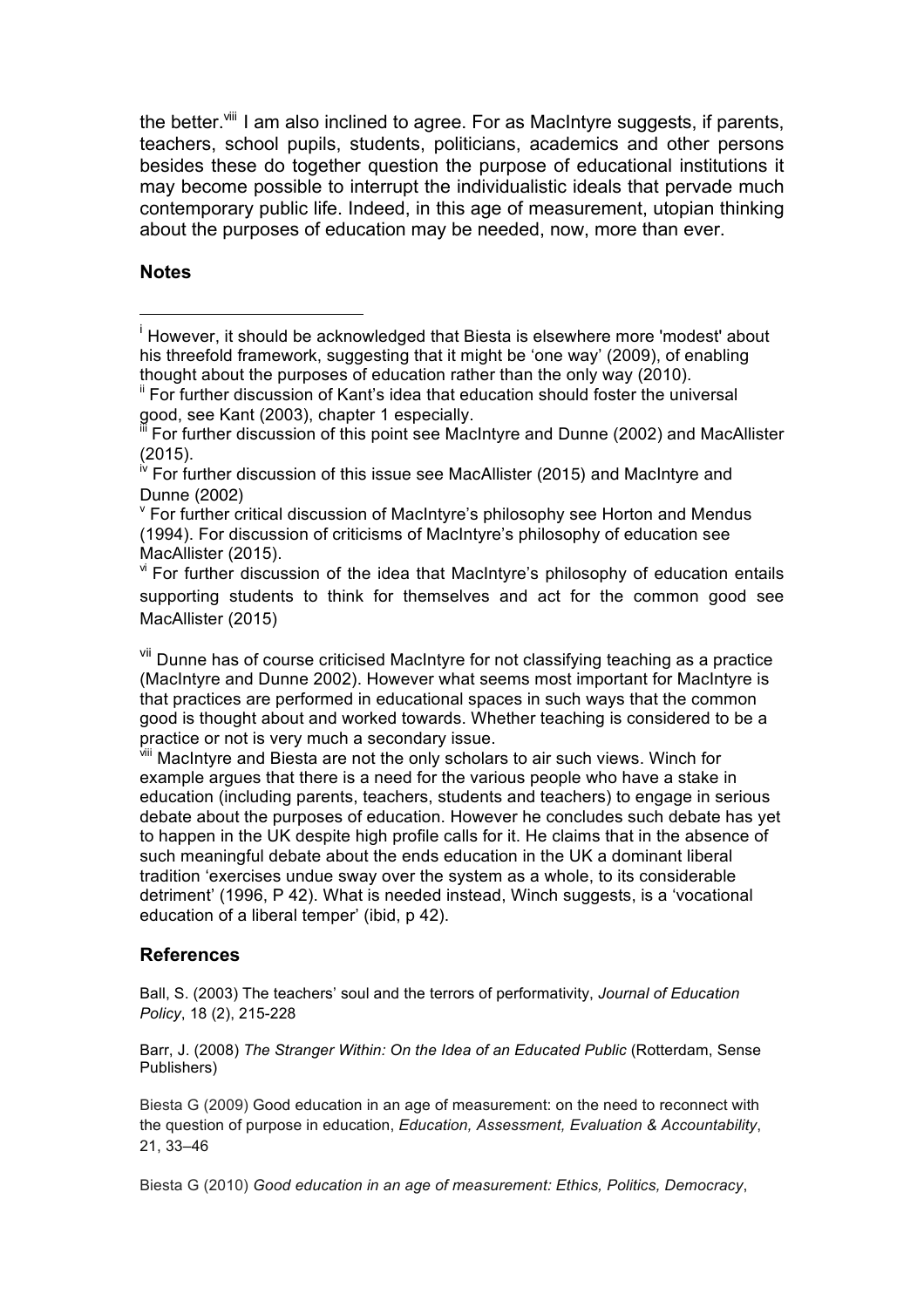the better.<sup>viii</sup> I am also inclined to agree. For as MacIntyre suggests, if parents, teachers, school pupils, students, politicians, academics and other persons besides these do together question the purpose of educational institutions it may become possible to interrupt the individualistic ideals that pervade much contemporary public life. Indeed, in this age of measurement, utopian thinking about the purposes of education may be needed, now, more than ever.

#### **Notes**

 $\overline{a}$ 

supporting students to think for themselves and act for the common good see MacAllister (2015)

<sup>vii</sup> Dunne has of course criticised MacIntyre for not classifying teaching as a practice (MacIntyre and Dunne 2002). However what seems most important for MacIntyre is that practices are performed in educational spaces in such ways that the common good is thought about and worked towards. Whether teaching is considered to be a practice or not is very much a secondary issue.

**VIII** MacIntyre and Biesta are not the only scholars to air such views. Winch for example argues that there is a need for the various people who have a stake in education (including parents, teachers, students and teachers) to engage in serious debate about the purposes of education. However he concludes such debate has yet to happen in the UK despite high profile calls for it. He claims that in the absence of such meaningful debate about the ends education in the UK a dominant liberal tradition 'exercises undue sway over the system as a whole, to its considerable detriment' (1996, P 42). What is needed instead, Winch suggests, is a 'vocational education of a liberal temper' (ibid, p 42).

#### **References**

Ball, S. (2003) The teachers' soul and the terrors of performativity, *Journal of Education Policy*, 18 (2), 215-228

Barr, J. (2008) *The Stranger Within: On the Idea of an Educated Public* (Rotterdam, Sense Publishers)

Biesta G (2009) Good education in an age of measurement: on the need to reconnect with the question of purpose in education, *Education, Assessment, Evaluation & Accountability*, 21, 33–46

Biesta G (2010) *Good education in an age of measurement: Ethics, Politics, Democracy*,

<sup>&</sup>lt;sup>i</sup> However, it should be acknowledged that Biesta is elsewhere more 'modest' about his threefold framework, suggesting that it might be 'one way' (2009), of enabling thought about the purposes of education rather than the only way (2010).

<sup>&</sup>lt;sup>ii</sup> For further discussion of Kant's idea that education should foster the universal good, see Kant (2003), chapter 1 especially.

For further discussion of this point see MacIntyre and Dunne (2002) and MacAllister (2015).

 $\mu$ <sup>iv</sup> For further discussion of this issue see MacAllister (2015) and MacIntyre and Dunne (2002)

 $V$  For further critical discussion of MacIntyre's philosophy see Horton and Mendus (1994). For discussion of criticisms of MacIntyre's philosophy of education see MacAllister (2015).<br><sup>vi</sup> For further discussion of the idea that MacIntyre's philosophy of education entails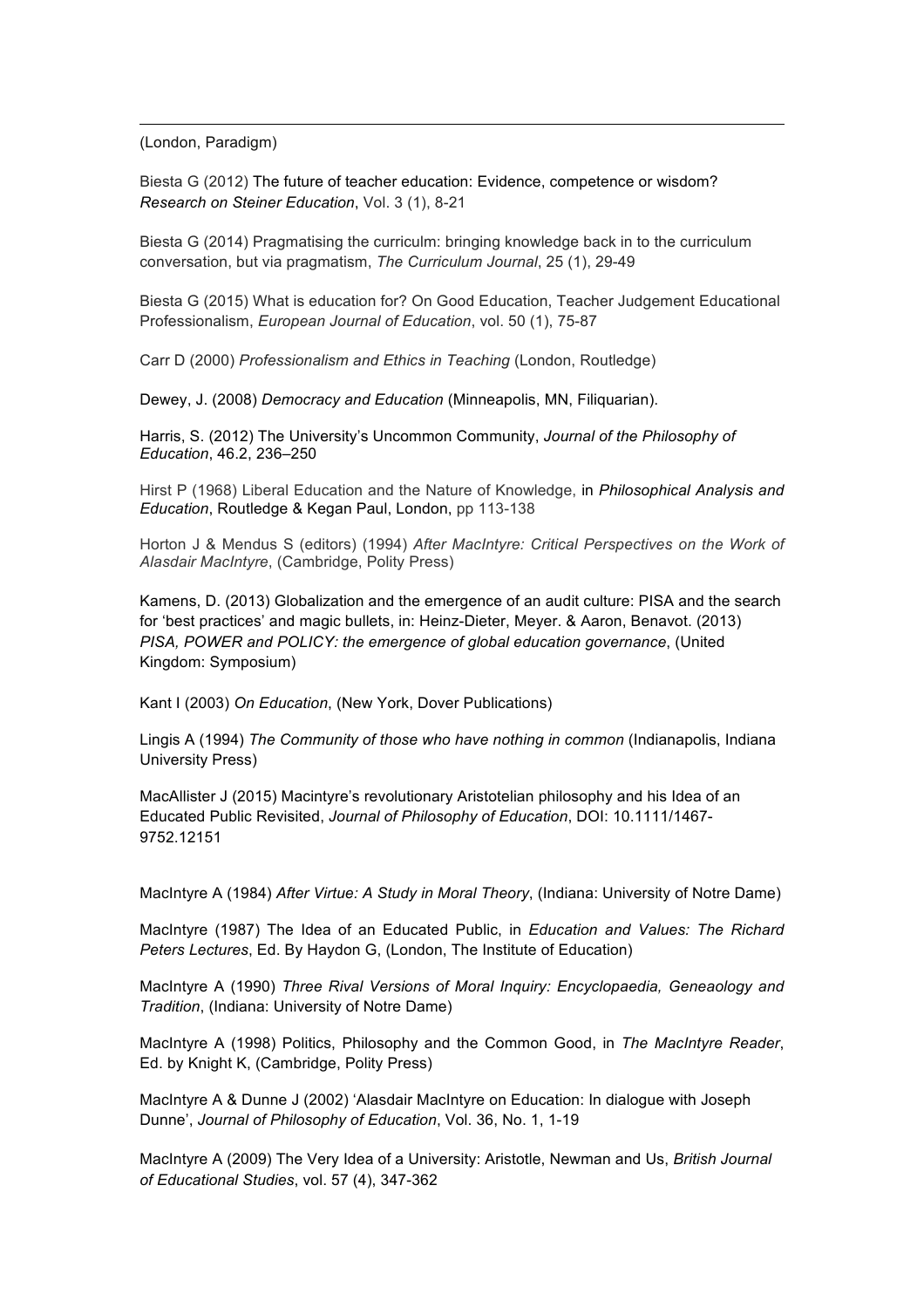(London, Paradigm)

 $\overline{a}$ 

Biesta G (2012) The future of teacher education: Evidence, competence or wisdom? *Research on Steiner Education*, Vol. 3 (1), 8-21

Biesta G (2014) Pragmatising the curriculm: bringing knowledge back in to the curriculum conversation, but via pragmatism, *The Curriculum Journal*, 25 (1), 29-49

Biesta G (2015) What is education for? On Good Education, Teacher Judgement Educational Professionalism, *European Journal of Education*, vol. 50 (1), 75-87

Carr D (2000) *Professionalism and Ethics in Teaching* (London, Routledge)

Dewey, J. (2008) *Democracy and Education* (Minneapolis, MN, Filiquarian).

Harris, S. (2012) The University's Uncommon Community, *Journal of the Philosophy of Education*, 46.2, 236–250

Hirst P (1968) Liberal Education and the Nature of Knowledge, in *Philosophical Analysis and Education*, Routledge & Kegan Paul, London, pp 113-138

Horton J & Mendus S (editors) (1994) *After MacIntyre: Critical Perspectives on the Work of Alasdair MacIntyre*, (Cambridge, Polity Press)

Kamens, D. (2013) Globalization and the emergence of an audit culture: PISA and the search for 'best practices' and magic bullets, in: Heinz-Dieter, Meyer. & Aaron, Benavot. (2013) *PISA, POWER and POLICY: the emergence of global education governance*, (United Kingdom: Symposium)

Kant I (2003) *On Education*, (New York, Dover Publications)

Lingis A (1994) *The Community of those who have nothing in common* (Indianapolis, Indiana University Press)

MacAllister J (2015) Macintyre's revolutionary Aristotelian philosophy and his Idea of an Educated Public Revisited, *Journal of Philosophy of Education*, DOI: 10.1111/1467- 9752.12151

MacIntyre A (1984) *After Virtue: A Study in Moral Theory*, (Indiana: University of Notre Dame)

MacIntyre (1987) The Idea of an Educated Public, in *Education and Values: The Richard Peters Lectures*, Ed. By Haydon G, (London, The Institute of Education)

MacIntyre A (1990) *Three Rival Versions of Moral Inquiry: Encyclopaedia, Geneaology and Tradition*, (Indiana: University of Notre Dame)

MacIntyre A (1998) Politics, Philosophy and the Common Good, in *The MacIntyre Reader*, Ed. by Knight K, (Cambridge, Polity Press)

MacIntyre A & Dunne J (2002) 'Alasdair MacIntyre on Education: In dialogue with Joseph Dunne', *Journal of Philosophy of Education*, Vol. 36, No. 1, 1-19

MacIntyre A (2009) The Very Idea of a University: Aristotle, Newman and Us, *British Journal of Educational Studies*, vol. 57 (4), 347-362